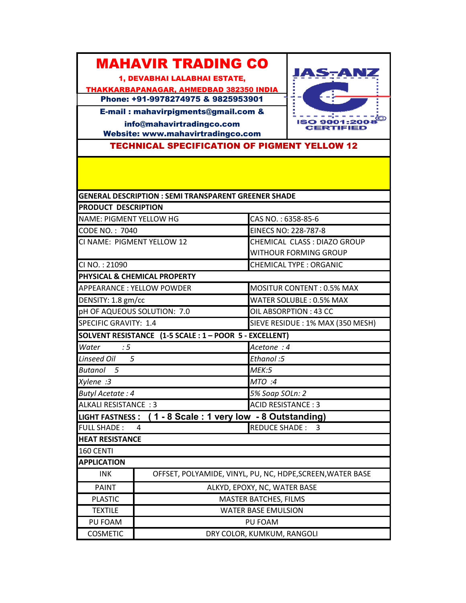## MAHAVIR TRADING CO

1, DEVABHAI LALABHAI ESTATE,

THAKKARBAPANAGAR, AHMEDBAD 382350 INDIA Phone: +91-9978274975 & 9825953901

JAS-ANZ **ENTRE 1999**<br>**ISO 9001:2008** 

E-mail : mahavirpigments@gmail.com & info@mahavirtradingco.com Website: www.mahavirtradingco.com

TECHNICAL SPECIFICATION OF PIGMENT YELLOW 12

|                                      | <b>GENERAL DESCRIPTION : SEMI TRANSPARENT GREENER SHADE</b> |                                                           |
|--------------------------------------|-------------------------------------------------------------|-----------------------------------------------------------|
| <b>PRODUCT DESCRIPTION</b>           |                                                             |                                                           |
| <b>NAME: PIGMENT YELLOW HG</b>       |                                                             | CAS NO.: 6358-85-6                                        |
| CODE NO.: 7040                       |                                                             | EINECS NO: 228-787-8                                      |
| CI NAME: PIGMENT YELLOW 12           |                                                             | CHEMICAL CLASS : DIAZO GROUP                              |
|                                      |                                                             | WITHOUR FORMING GROUP                                     |
| CI NO.: 21090                        |                                                             | <b>CHEMICAL TYPE: ORGANIC</b>                             |
|                                      | <b>PHYSICAL &amp; CHEMICAL PROPERTY</b>                     |                                                           |
| APPEARANCE: YELLOW POWDER            |                                                             | <b>MOSITUR CONTENT: 0.5% MAX</b>                          |
| DENSITY: 1.8 gm/cc                   |                                                             | WATER SOLUBLE: 0.5% MAX                                   |
| pH OF AQUEOUS SOLUTION: 7.0          |                                                             | OIL ABSORPTION: 43 CC                                     |
| SPECIFIC GRAVITY: 1.4                |                                                             | SIEVE RESIDUE : 1% MAX (350 MESH)                         |
|                                      | SOLVENT RESISTANCE (1-5 SCALE : 1 - POOR 5 - EXCELLENT)     |                                                           |
| Water<br>$\therefore$ 5              |                                                             | Acetone: 4                                                |
| Linseed Oil 5                        |                                                             | Ethanol:5                                                 |
| Butanol 5                            |                                                             | MEK:5                                                     |
| Xylene :3                            |                                                             | MTO :4                                                    |
| <b>Butyl Acetate: 4</b>              |                                                             | 5% Soap SOLn: 2                                           |
| <b>ALKALI RESISTANCE: 3</b>          |                                                             | <b>ACID RESISTANCE: 3</b>                                 |
|                                      |                                                             | LIGHT FASTNESS: (1 - 8 Scale: 1 very low - 8 Outstanding) |
| <b>FULL SHADE:</b><br>$\overline{4}$ |                                                             | REDUCE SHADE: 3                                           |
| <b>HEAT RESISTANCE</b>               |                                                             |                                                           |
| 160 CENTI                            |                                                             |                                                           |
| <b>APPLICATION</b>                   |                                                             |                                                           |
| <b>INK</b>                           | OFFSET, POLYAMIDE, VINYL, PU, NC, HDPE, SCREEN, WATER BASE  |                                                           |
| <b>PAINT</b>                         | ALKYD, EPOXY, NC, WATER BASE                                |                                                           |
| <b>PLASTIC</b>                       | <b>MASTER BATCHES, FILMS</b>                                |                                                           |
| <b>TEXTILE</b>                       | <b>WATER BASE EMULSION</b>                                  |                                                           |
| PU FOAM                              | PU FOAM                                                     |                                                           |
| <b>COSMETIC</b>                      | DRY COLOR, KUMKUM, RANGOLI                                  |                                                           |